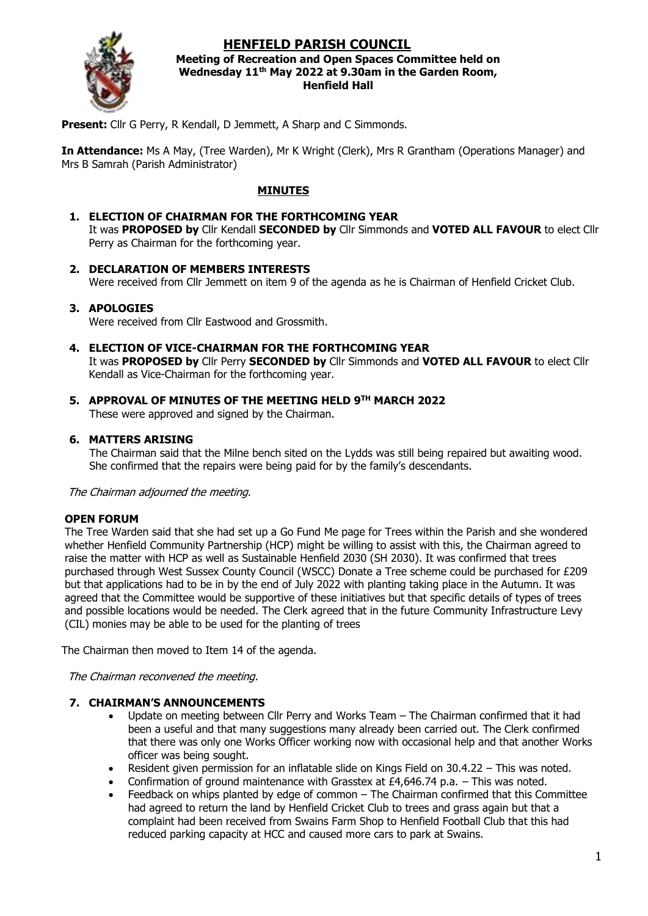# **HENFIELD PARISH COUNCIL**



#### **Meeting of Recreation and Open Spaces Committee held on Wednesday 11th May 2022 at 9.30am in the Garden Room, Henfield Hall**

**Present:** Cllr G Perry, R Kendall, D Jemmett, A Sharp and C Simmonds.

**In Attendance:** Ms A May, (Tree Warden), Mr K Wright (Clerk), Mrs R Grantham (Operations Manager) and Mrs B Samrah (Parish Administrator)

# **MINUTES**

### **1. ELECTION OF CHAIRMAN FOR THE FORTHCOMING YEAR**

It was **PROPOSED by** Cllr Kendall **SECONDED by** Cllr Simmonds and **VOTED ALL FAVOUR** to elect Cllr Perry as Chairman for the forthcoming year.

#### **2. DECLARATION OF MEMBERS INTERESTS**

Were received from Cllr Jemmett on item 9 of the agenda as he is Chairman of Henfield Cricket Club.

### **3. APOLOGIES**

Were received from Cllr Eastwood and Grossmith

- **4. ELECTION OF VICE-CHAIRMAN FOR THE FORTHCOMING YEAR** It was **PROPOSED by** Cllr Perry **SECONDED by** Cllr Simmonds and **VOTED ALL FAVOUR** to elect Cllr Kendall as Vice-Chairman for the forthcoming year.
- **5. APPROVAL OF MINUTES OF THE MEETING HELD 9 TH MARCH 2022**

These were approved and signed by the Chairman.

#### **6. MATTERS ARISING**

The Chairman said that the Milne bench sited on the Lydds was still being repaired but awaiting wood. She confirmed that the repairs were being paid for by the family's descendants.

The Chairman adjourned the meeting.

#### **OPEN FORUM**

The Tree Warden said that she had set up a Go Fund Me page for Trees within the Parish and she wondered whether Henfield Community Partnership (HCP) might be willing to assist with this, the Chairman agreed to raise the matter with HCP as well as Sustainable Henfield 2030 (SH 2030). It was confirmed that trees purchased through West Sussex County Council (WSCC) Donate a Tree scheme could be purchased for £209 but that applications had to be in by the end of July 2022 with planting taking place in the Autumn. It was agreed that the Committee would be supportive of these initiatives but that specific details of types of trees and possible locations would be needed. The Clerk agreed that in the future Community Infrastructure Levy (CIL) monies may be able to be used for the planting of trees

The Chairman then moved to Item 14 of the agenda.

The Chairman reconvened the meeting.

#### **7. CHAIRMAN'S ANNOUNCEMENTS**

- Update on meeting between Cllr Perry and Works Team The Chairman confirmed that it had been a useful and that many suggestions many already been carried out. The Clerk confirmed that there was only one Works Officer working now with occasional help and that another Works officer was being sought.
- Resident given permission for an inflatable slide on Kings Field on 30.4.22 This was noted.
- Confirmation of ground maintenance with Grasstex at £4,646,74 p.a.  $-$  This was noted.
- Feedback on whips planted by edge of common The Chairman confirmed that this Committee had agreed to return the land by Henfield Cricket Club to trees and grass again but that a complaint had been received from Swains Farm Shop to Henfield Football Club that this had reduced parking capacity at HCC and caused more cars to park at Swains.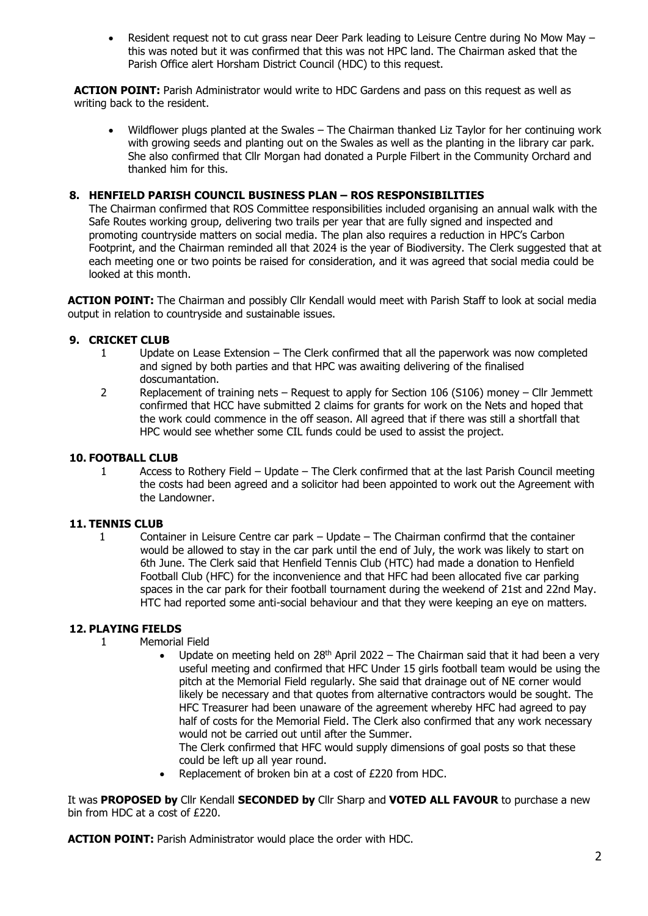• Resident request not to cut grass near Deer Park leading to Leisure Centre during No Mow May – this was noted but it was confirmed that this was not HPC land. The Chairman asked that the Parish Office alert Horsham District Council (HDC) to this request.

**ACTION POINT:** Parish Administrator would write to HDC Gardens and pass on this request as well as writing back to the resident.

• Wildflower plugs planted at the Swales – The Chairman thanked Liz Taylor for her continuing work with growing seeds and planting out on the Swales as well as the planting in the library car park. She also confirmed that Cllr Morgan had donated a Purple Filbert in the Community Orchard and thanked him for this.

# **8. HENFIELD PARISH COUNCIL BUSINESS PLAN – ROS RESPONSIBILITIES**

The Chairman confirmed that ROS Committee responsibilities included organising an annual walk with the Safe Routes working group, delivering two trails per year that are fully signed and inspected and promoting countryside matters on social media. The plan also requires a reduction in HPC's Carbon Footprint, and the Chairman reminded all that 2024 is the year of Biodiversity. The Clerk suggested that at each meeting one or two points be raised for consideration, and it was agreed that social media could be looked at this month.

**ACTION POINT:** The Chairman and possibly Cllr Kendall would meet with Parish Staff to look at social media output in relation to countryside and sustainable issues.

### **9. CRICKET CLUB**

- 1 Update on Lease Extension The Clerk confirmed that all the paperwork was now completed and signed by both parties and that HPC was awaiting delivering of the finalised doscumantation.
- 2 Replacement of training nets Request to apply for Section 106 (S106) money Cllr Jemmett confirmed that HCC have submitted 2 claims for grants for work on the Nets and hoped that the work could commence in the off season. All agreed that if there was still a shortfall that HPC would see whether some CIL funds could be used to assist the project.

### **10. FOOTBALL CLUB**

1 Access to Rothery Field – Update – The Clerk confirmed that at the last Parish Council meeting the costs had been agreed and a solicitor had been appointed to work out the Agreement with the Landowner.

# **11. TENNIS CLUB**

1 Container in Leisure Centre car park – Update – The Chairman confirmd that the container would be allowed to stay in the car park until the end of July, the work was likely to start on 6th June. The Clerk said that Henfield Tennis Club (HTC) had made a donation to Henfield Football Club (HFC) for the inconvenience and that HFC had been allocated five car parking spaces in the car park for their football tournament during the weekend of 21st and 22nd May. HTC had reported some anti-social behaviour and that they were keeping an eye on matters.

# **12. PLAYING FIELDS**

- 1 Memorial Field
	- Update on meeting held on  $28<sup>th</sup>$  April 2022 The Chairman said that it had been a very useful meeting and confirmed that HFC Under 15 girls football team would be using the pitch at the Memorial Field regularly. She said that drainage out of NE corner would likely be necessary and that quotes from alternative contractors would be sought. The HFC Treasurer had been unaware of the agreement whereby HFC had agreed to pay half of costs for the Memorial Field. The Clerk also confirmed that any work necessary would not be carried out until after the Summer.

The Clerk confirmed that HFC would supply dimensions of goal posts so that these could be left up all year round.

Replacement of broken bin at a cost of £220 from HDC.

It was **PROPOSED by** Cllr Kendall **SECONDED by** Cllr Sharp and **VOTED ALL FAVOUR** to purchase a new bin from HDC at a cost of £220.

**ACTION POINT:** Parish Administrator would place the order with HDC.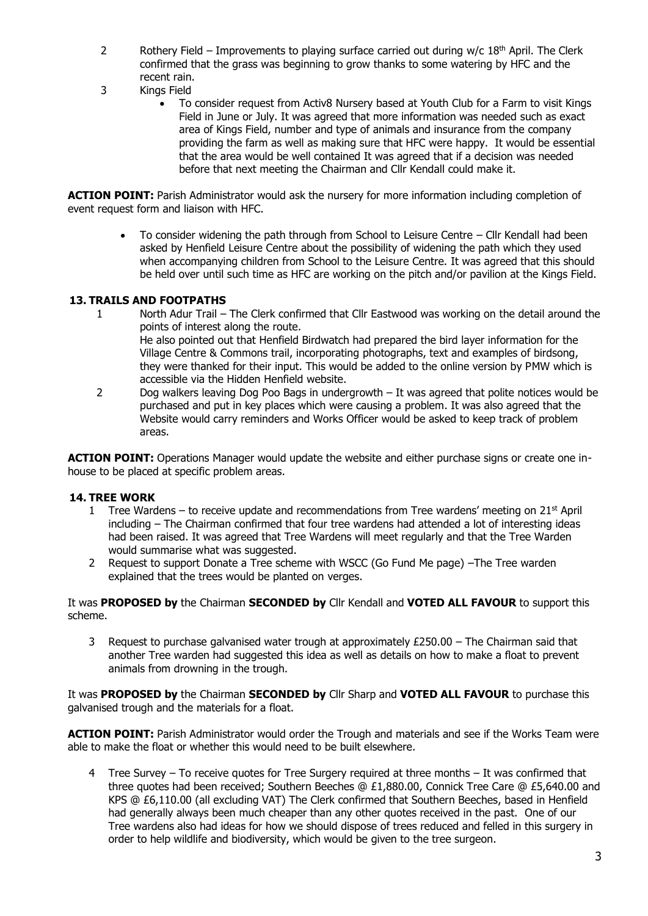- 2 Rothery Field Improvements to playing surface carried out during  $w/c 18<sup>th</sup>$  April. The Clerk confirmed that the grass was beginning to grow thanks to some watering by HFC and the recent rain.
- 3 Kings Field
	- To consider request from Activ8 Nursery based at Youth Club for a Farm to visit Kings Field in June or July. It was agreed that more information was needed such as exact area of Kings Field, number and type of animals and insurance from the company providing the farm as well as making sure that HFC were happy. It would be essential that the area would be well contained It was agreed that if a decision was needed before that next meeting the Chairman and Cllr Kendall could make it.

**ACTION POINT:** Parish Administrator would ask the nursery for more information including completion of event request form and liaison with HFC.

> • To consider widening the path through from School to Leisure Centre – Cllr Kendall had been asked by Henfield Leisure Centre about the possibility of widening the path which they used when accompanying children from School to the Leisure Centre. It was agreed that this should be held over until such time as HFC are working on the pitch and/or pavilion at the Kings Field.

### **13. TRAILS AND FOOTPATHS**

- 1 North Adur Trail The Clerk confirmed that Cllr Eastwood was working on the detail around the points of interest along the route. He also pointed out that Henfield Birdwatch had prepared the bird layer information for the Village Centre & Commons trail, incorporating photographs, text and examples of birdsong, they were thanked for their input. This would be added to the online version by PMW which is accessible via the Hidden Henfield website.
- 2 Dog walkers leaving Dog Poo Bags in undergrowth It was agreed that polite notices would be purchased and put in key places which were causing a problem. It was also agreed that the Website would carry reminders and Works Officer would be asked to keep track of problem areas.

**ACTION POINT:** Operations Manager would update the website and either purchase signs or create one inhouse to be placed at specific problem areas.

#### **14. TREE WORK**

- 1 Tree Wardens to receive update and recommendations from Tree wardens' meeting on  $21<sup>st</sup>$  April including – The Chairman confirmed that four tree wardens had attended a lot of interesting ideas had been raised. It was agreed that Tree Wardens will meet regularly and that the Tree Warden would summarise what was suggested.
- 2 Request to support Donate a Tree scheme with WSCC (Go Fund Me page) –The Tree warden explained that the trees would be planted on verges.

It was **PROPOSED by** the Chairman **SECONDED by** Cllr Kendall and **VOTED ALL FAVOUR** to support this scheme.

3 Request to purchase galvanised water trough at approximately  $£250.00 -$  The Chairman said that another Tree warden had suggested this idea as well as details on how to make a float to prevent animals from drowning in the trough.

It was **PROPOSED by** the Chairman **SECONDED by** Cllr Sharp and **VOTED ALL FAVOUR** to purchase this galvanised trough and the materials for a float.

**ACTION POINT:** Parish Administrator would order the Trough and materials and see if the Works Team were able to make the float or whether this would need to be built elsewhere.

4 Tree Survey – To receive quotes for Tree Surgery required at three months – It was confirmed that three quotes had been received; Southern Beeches @ £1,880.00, Connick Tree Care @ £5,640.00 and KPS @ £6,110.00 (all excluding VAT) The Clerk confirmed that Southern Beeches, based in Henfield had generally always been much cheaper than any other quotes received in the past. One of our Tree wardens also had ideas for how we should dispose of trees reduced and felled in this surgery in order to help wildlife and biodiversity, which would be given to the tree surgeon.